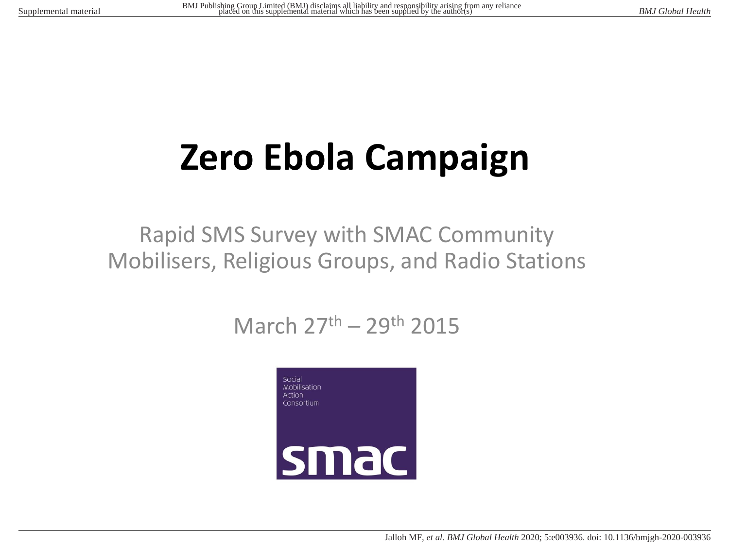# **Zero Ebola Campaign**

#### Rapid SMS Survey with SMAC Community Mobilisers, Religious Groups, and Radio Stations

### March 27th – 29th 2015

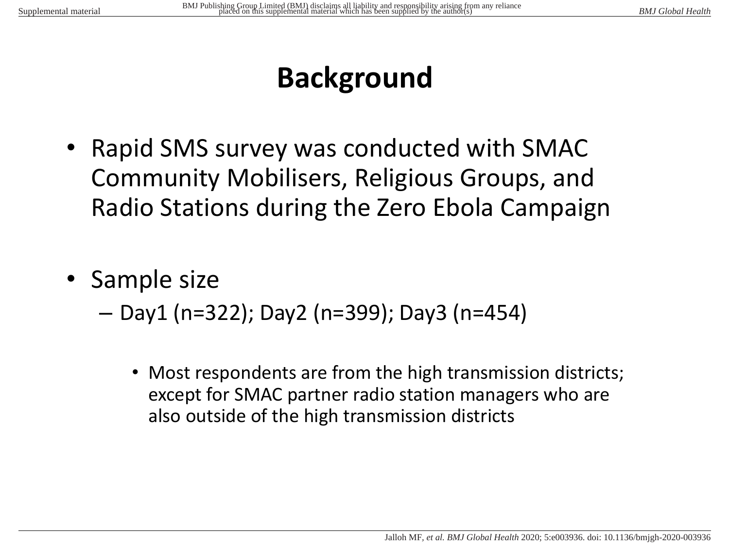## **Background**

- Rapid SMS survey was conducted with SMAC Community Mobilisers, Religious Groups, and Radio Stations during the Zero Ebola Campaign
- Sample size
	- Day1 (n=322); Day2 (n=399); Day3 (n=454)
		- Most respondents are from the high transmission districts; except for SMAC partner radio station managers who are also outside of the high transmission districts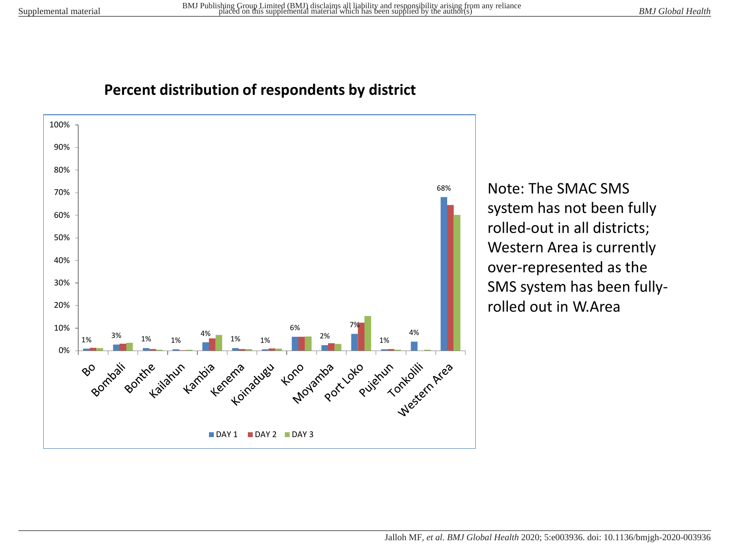#### **Percent distribution of respondents by district**



Note: The SMAC SMS system has not been fully rolled-out in all districts; Western Area is currently over-represented as the SMS system has been fullyrolled out in W.Area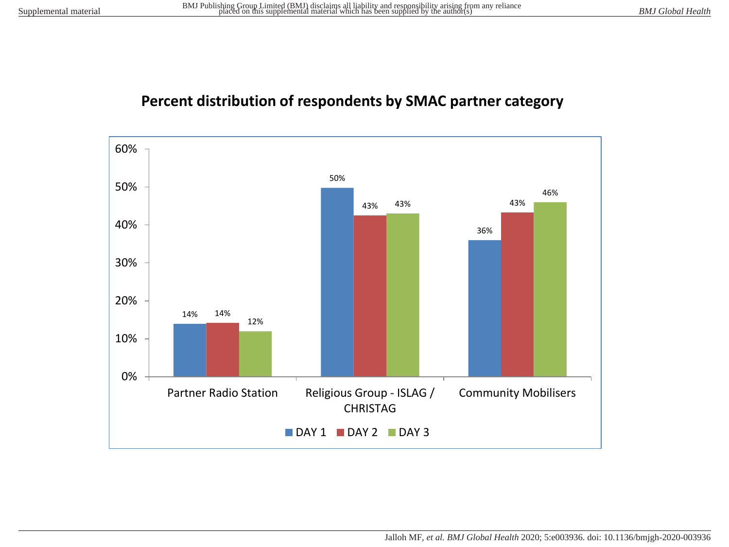#### **Percent distribution of respondents by SMAC partner category**

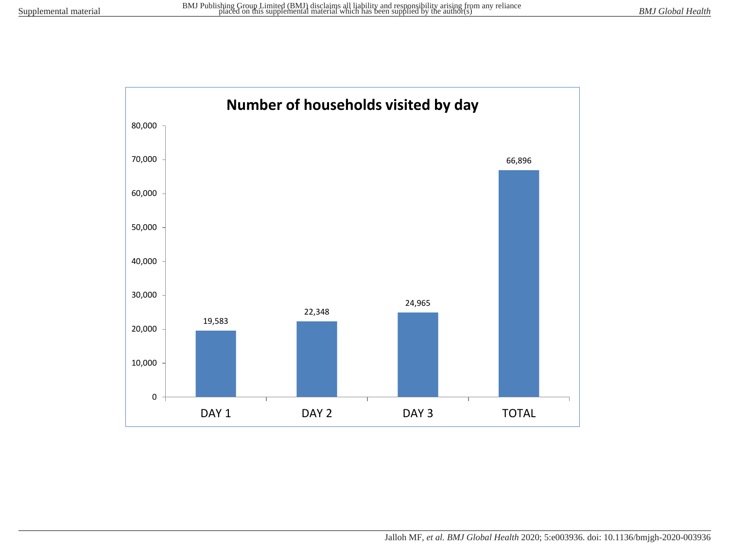

Jalloh MF*, et al. BMJ Global Health* 2020; 5:e003936. doi: 10.1136/bmjgh-2020-003936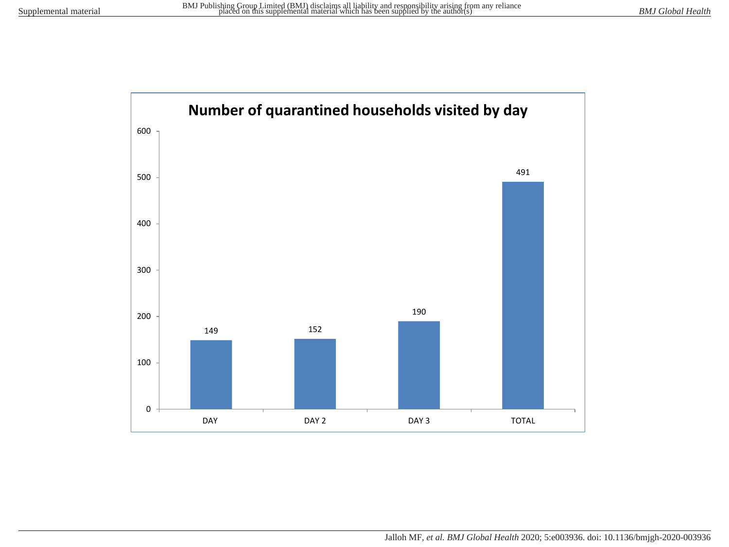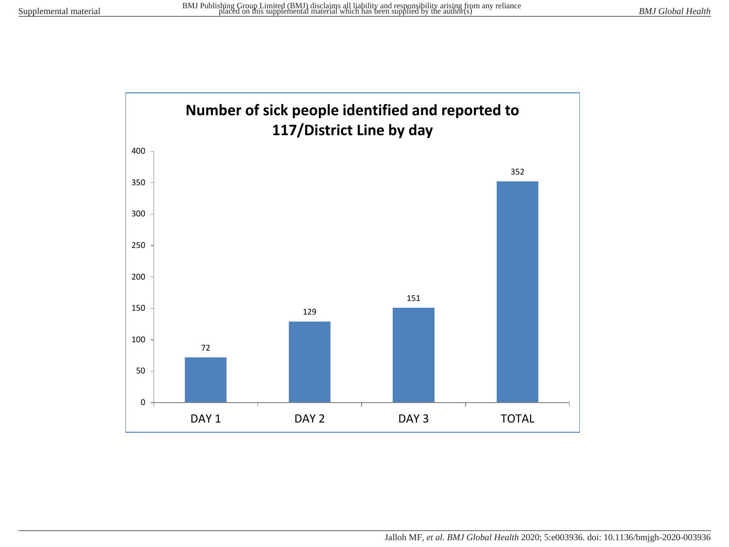

Jalloh MF*, et al. BMJ Global Health* 2020; 5:e003936. doi: 10.1136/bmjgh-2020-003936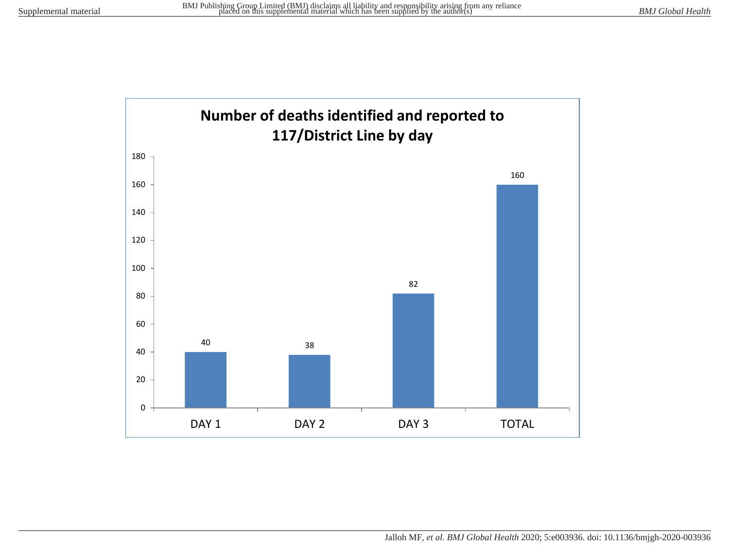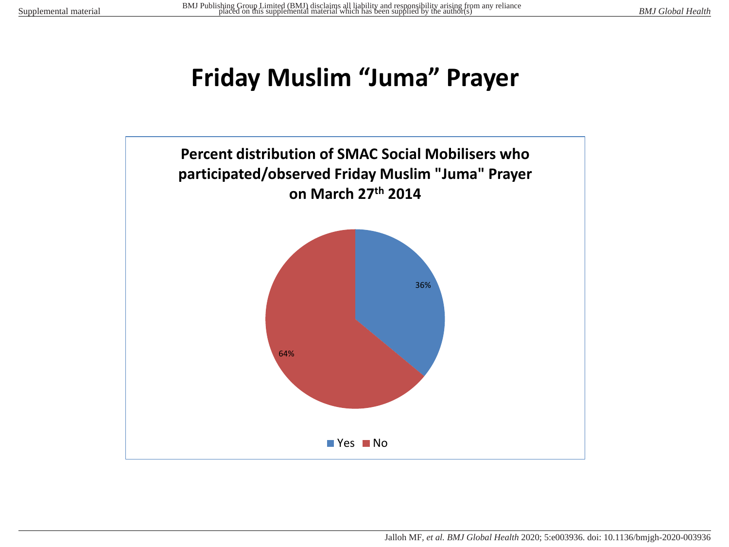## **Friday Muslim "Juma" Prayer**

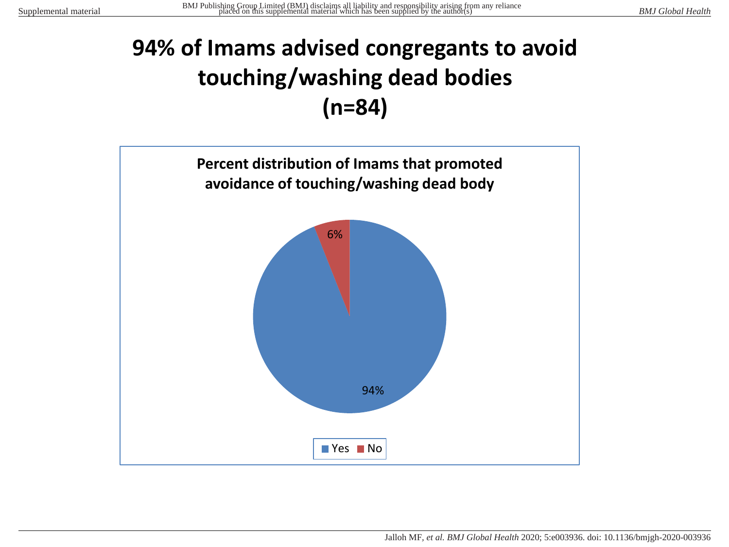## **94% of Imams advised congregants to avoid touching/washing dead bodies (n=84)**

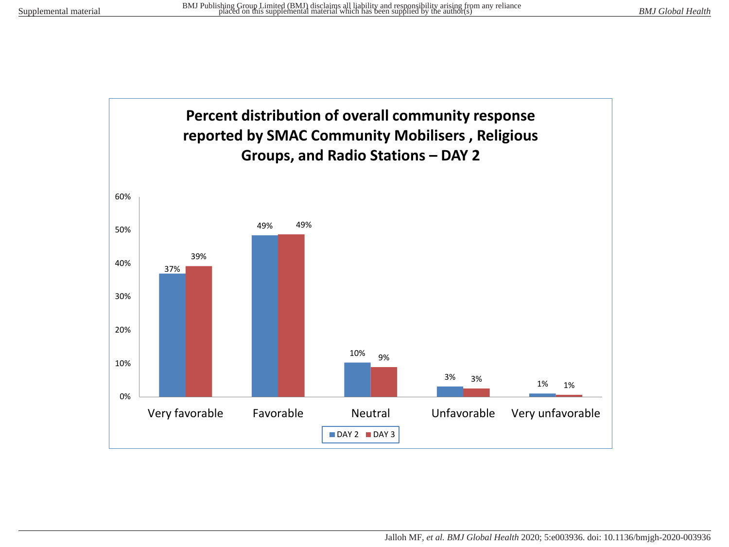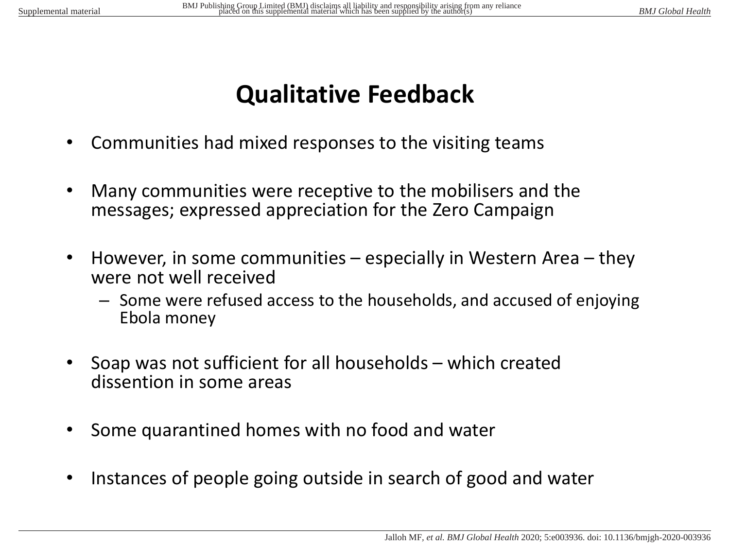## **Qualitative Feedback**

- Communities had mixed responses to the visiting teams
- Many communities were receptive to the mobilisers and the messages; expressed appreciation for the Zero Campaign
- However, in some communities especially in Western Area they were not well received
	- Some were refused access to the households, and accused of enjoying Ebola money
- Soap was not sufficient for all households which created dissention in some areas
- Some quarantined homes with no food and water
- Instances of people going outside in search of good and water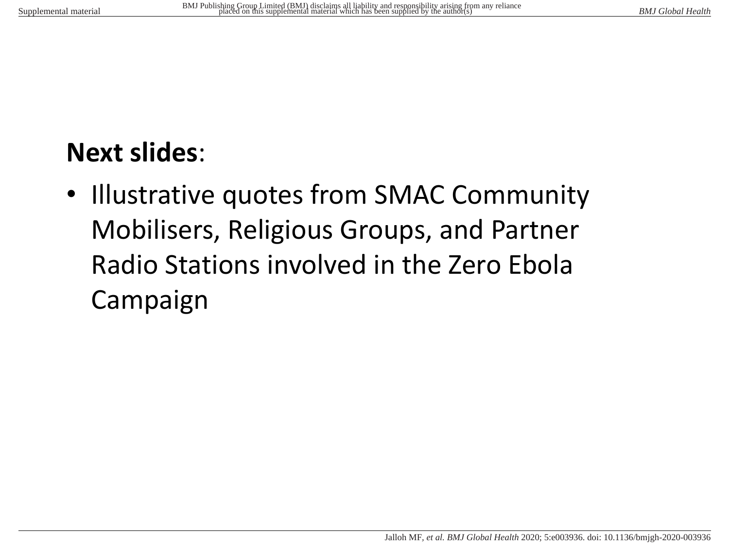## **Next slides**:

• Illustrative quotes from SMAC Community Mobilisers, Religious Groups, and Partner Radio Stations involved in the Zero Ebola Campaign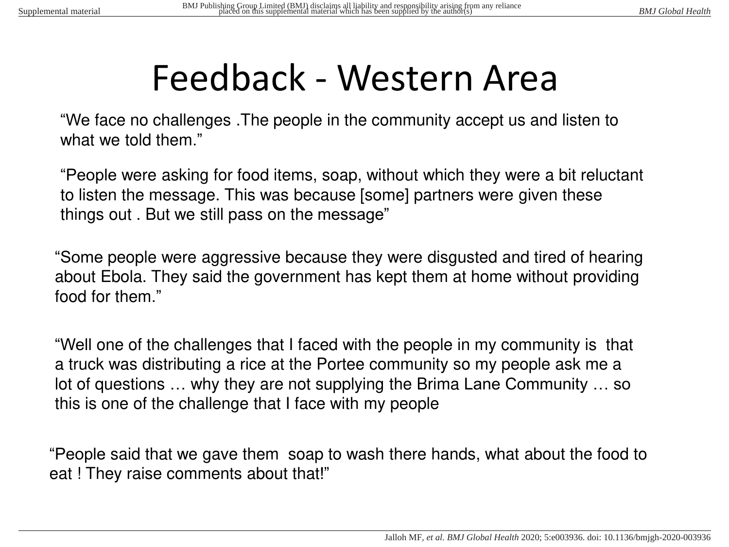# Feedback - Western Area

"We face no challenges .The people in the community accept us and listen to what we told them."

"People were asking for food items, soap, without which they were a bit reluctant to listen the message. This was because [some] partners were given these things out . But we still pass on the message"

"Some people were aggressive because they were disgusted and tired of hearing about Ebola. They said the government has kept them at home without providing food for them."

"Well one of the challenges that I faced with the people in my community is that a truck was distributing a rice at the Portee community so my people ask me a lot of questions … why they are not supplying the Brima Lane Community … so this is one of the challenge that I face with my people

"People said that we gave them soap to wash there hands, what about the food to eat ! They raise comments about that!"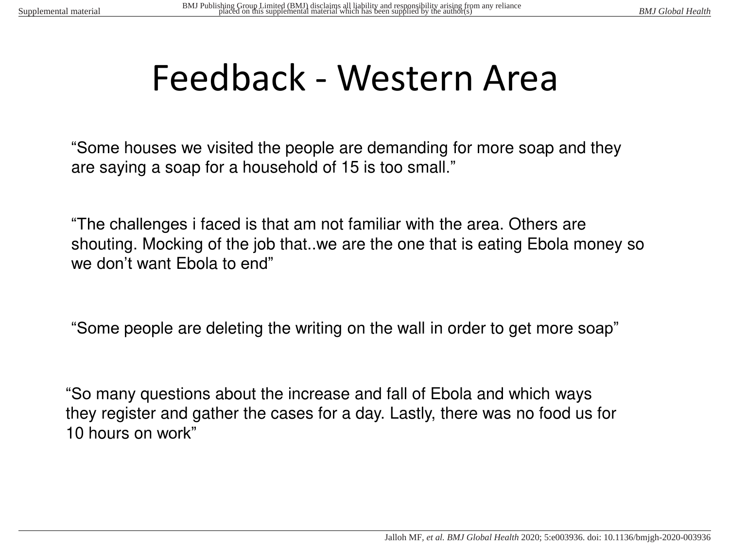# Feedback - Western Area

"Some houses we visited the people are demanding for more soap and they are saying a soap for a household of 15 is too small."

"The challenges i faced is that am not familiar with the area. Others are shouting. Mocking of the job that..we are the one that is eating Ebola money so we don't want Ebola to end"

"Some people are deleting the writing on the wall in order to get more soap"

"So many questions about the increase and fall of Ebola and which ways they register and gather the cases for a day. Lastly, there was no food us for 10 hours on work"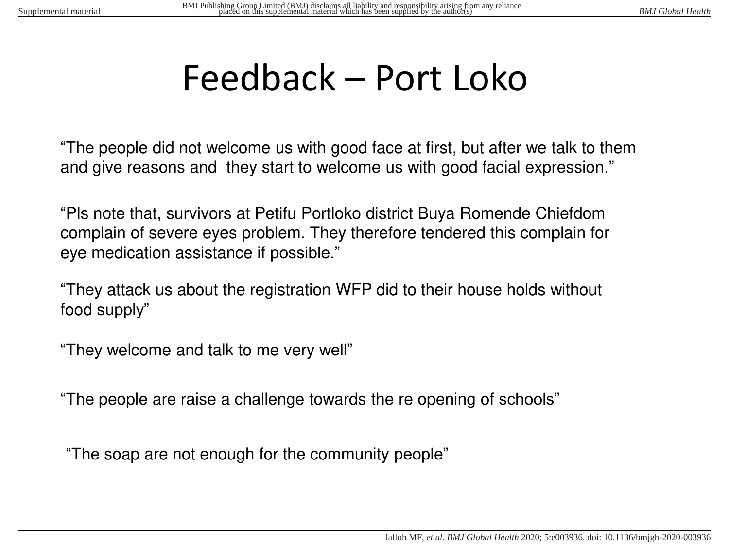# Feedback – Port Loko

"The people did not welcome us with good face at first, but after we talk to them and give reasons and they start to welcome us with good facial expression."

"Pls note that, survivors at Petifu Portloko district Buya Romende Chiefdom complain of severe eyes problem. They therefore tendered this complain for eye medication assistance if possible."

"They attack us about the registration WFP did to their house holds without food supply"

"They welcome and talk to me very well"

"The people are raise a challenge towards the re opening of schools"

"The soap are not enough for the community people"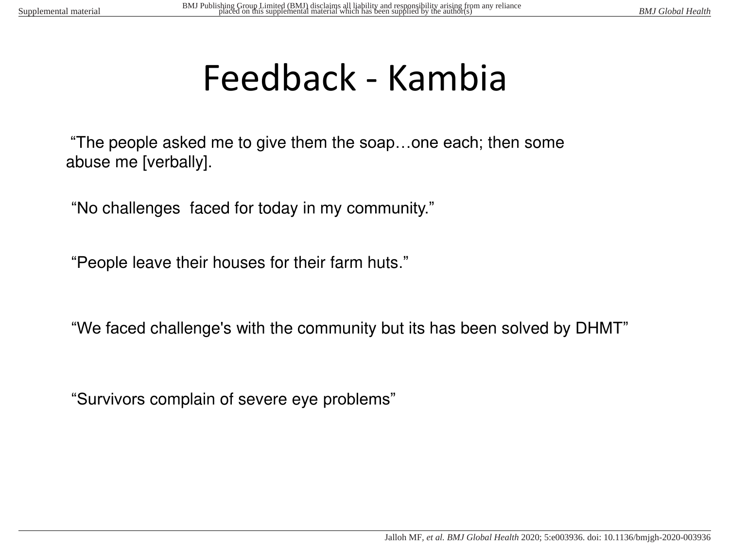# Feedback - Kambia

"The people asked me to give them the soap…one each; then some abuse me [verbally].

"No challenges faced for today in my community."

"People leave their houses for their farm huts."

"We faced challenge's with the community but its has been solved by DHMT"

"Survivors complain of severe eye problems"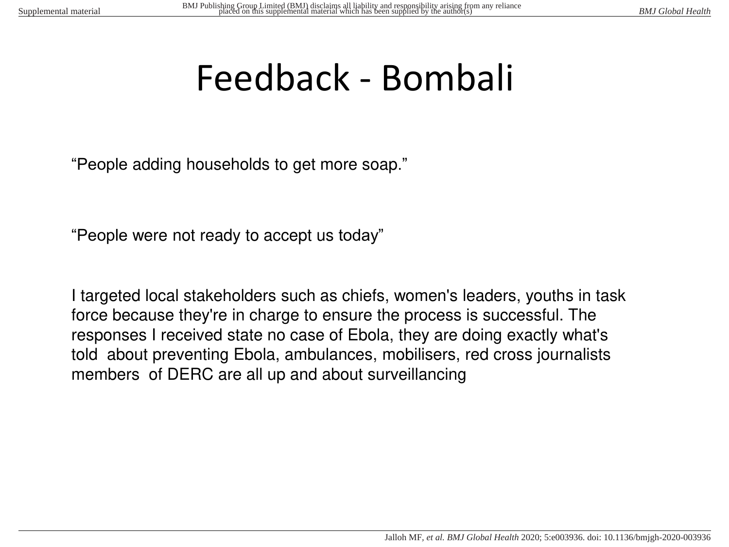# Feedback - Bombali

"People adding households to get more soap."

"People were not ready to accept us today"

I targeted local stakeholders such as chiefs, women's leaders, youths in task force because they're in charge to ensure the process is successful. The responses I received state no case of Ebola, they are doing exactly what's told about preventing Ebola, ambulances, mobilisers, red cross journalists members of DERC are all up and about surveillancing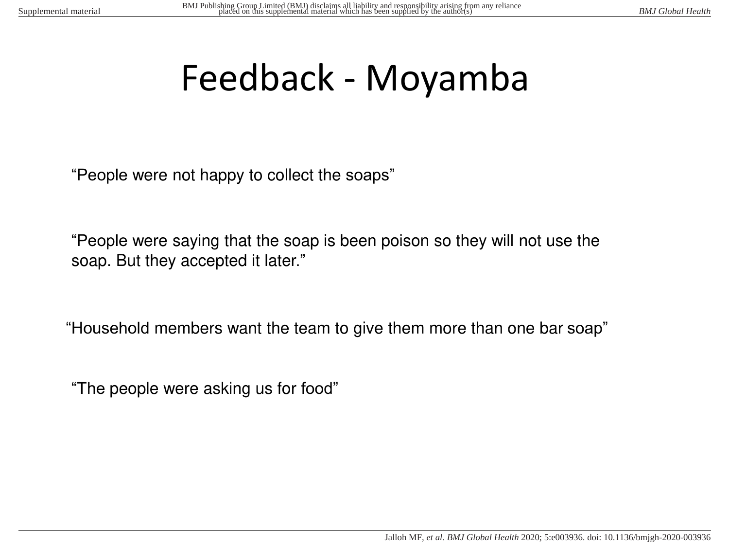# Feedback - Moyamba

"People were not happy to collect the soaps"

"People were saying that the soap is been poison so they will not use the soap. But they accepted it later."

"Household members want the team to give them more than one bar soap"

"The people were asking us for food"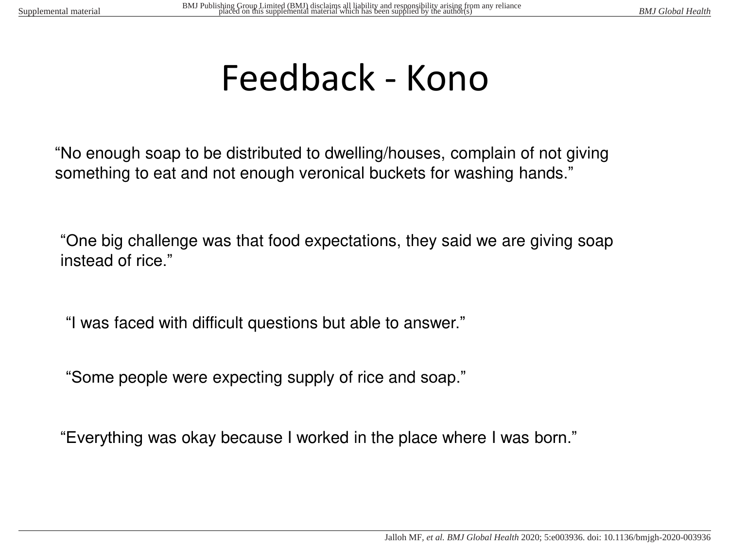# Feedback - Kono

"No enough soap to be distributed to dwelling/houses, complain of not giving something to eat and not enough veronical buckets for washing hands."

"One big challenge was that food expectations, they said we are giving soap instead of rice."

"I was faced with difficult questions but able to answer."

"Some people were expecting supply of rice and soap."

"Everything was okay because I worked in the place where I was born."